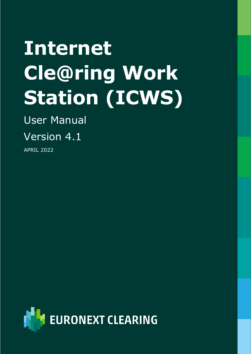# **Internet Cle@ring Work Station (ICWS)**

User Manual

Version 4.1

APRIL 2022

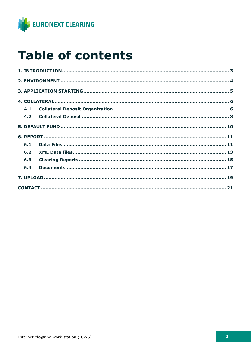

### **Table of contents**

| 4.1 |  |
|-----|--|
| 4.2 |  |
|     |  |
|     |  |
|     |  |
| 6.1 |  |
| 6.2 |  |
| 6.3 |  |
| 6.4 |  |
|     |  |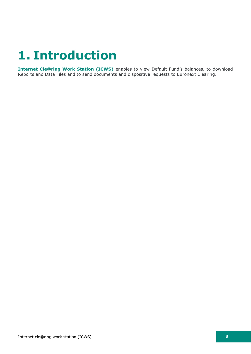### <span id="page-2-0"></span>**1. Introduction**

**Internet Cle@ring Work Station (ICWS)** enables to view Default Fund's balances, to download Reports and Data Files and to send documents and dispositive requests to Euronext Clearing.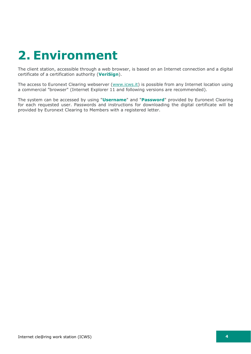## <span id="page-3-0"></span>**2. Environment**

The client station, accessible through a web browser, is based on an Internet connection and a digital certificate of a certification authority (**VeriSign**).

The access to Euronext Clearing webserver [\(www.icws.it\)](http://www.icws.it/) is possible from any Internet location using a commercial "browser" (Internet Explorer 11 and following versions are recommended).

The system can be accessed by using "**Username**" and "**Password**" provided by Euronext Clearing for each requested user. Passwords and instructions for downloading the digital certificate will be provided by Euronext Clearing to Members with a registered letter.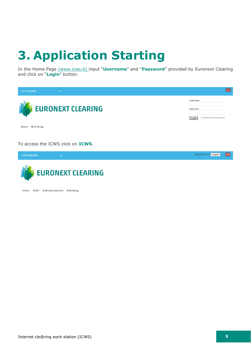# <span id="page-4-0"></span>**3. Application Starting**

In the Home Page [\(www.icws.it\)](https://www.icws.it/) input "**Username**" and "**Password**" provided by Euronext Clearing and click on "**Login**" button.





Home ICWS ICWS Avviamento Risk Array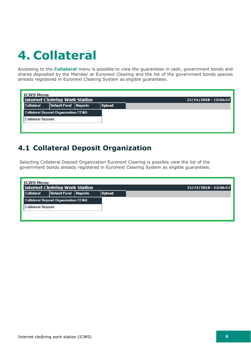# <span id="page-5-0"></span>**4. Collateral**

Accessing to the **Collateral** menu is possible to view the guarantees in cash, government bonds and shares deposited by the Member at Euronext Clearing and the list of the government bonds species already registered in Euronext Clearing System as eligible guarantees.

| <b>ICWS Menu</b>          | <b>Internet Cle@ring Work Station</b>           |               | $23/11/2018 - 12:36:57$ |
|---------------------------|-------------------------------------------------|---------------|-------------------------|
| Collateral                | Default Fund Reports                            | <b>Upload</b> |                         |
|                           | <b>Collateral Deposit Organization CC&amp;G</b> |               |                         |
| <b>Collateral Deposit</b> |                                                 |               |                         |
|                           |                                                 |               |                         |
|                           |                                                 |               |                         |

### <span id="page-5-1"></span>**4.1 Collateral Deposit Organization**

Selecting Collateral Deposit Organization Euronext Clearing is possible view the list of the government bonds already registered in Euronext Clearing System as eligible guarantees.

| <b>ICWS Menu</b><br>Internet Cle@ring Work Station<br>23/11/2018 - 12:36:57 |                      |  |        |  |  |  |  |
|-----------------------------------------------------------------------------|----------------------|--|--------|--|--|--|--|
| Collateral                                                                  | Default Fund Reports |  | Upload |  |  |  |  |
| <b>Collateral Deposit Organization CC&amp;G</b>                             |                      |  |        |  |  |  |  |
| Collateral Deposit                                                          |                      |  |        |  |  |  |  |
|                                                                             |                      |  |        |  |  |  |  |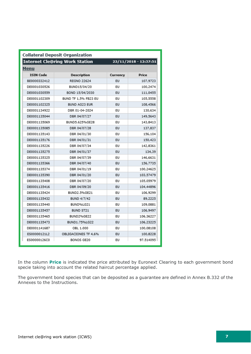| <b>Collateral Deposit Organization</b> |                                       |                   |                       |  |  |  |
|----------------------------------------|---------------------------------------|-------------------|-----------------------|--|--|--|
|                                        | <b>Internet Cle@ring Work Station</b> |                   | 23/11/2018 - 12:37:51 |  |  |  |
| Menu                                   |                                       |                   |                       |  |  |  |
| <b>ISIN Code</b>                       | Description                           | Currency<br>Price |                       |  |  |  |
| BE0000332412                           | <b>REGNO 22624</b><br>EU              |                   | 107,9723              |  |  |  |
| DE0001030526                           | BUND15/04/20                          | EU                | 100,2474              |  |  |  |
| DE0001030559                           | BOND 15/04/2030                       | EU                | 111,0455              |  |  |  |
| DE0001102309                           | BUND TF 1,5% FB23 EU                  | EU                | 105,5558              |  |  |  |
| DE0001102325                           | BUND AG23 EUR                         | EU                | 108,4566              |  |  |  |
| DE0001134922                           | DBR 01-04-2024                        | EU                | 130,634               |  |  |  |
| DE0001135044                           | DBR 04/07/27                          | EU                | 149,5643              |  |  |  |
| DE0001135069                           | BUND5.625%GE28                        | EU                | 143,8413              |  |  |  |
| DE0001135085                           | DBR 04/07/28                          | EU                | 137.837               |  |  |  |
| DE0001135143                           | DBR 04/01/30                          | EU                | 156,104               |  |  |  |
| DE0001135176                           | DBR 04/01/31                          | EU                | 150,423               |  |  |  |
| DE0001135226                           | DBR 04/07/34                          | EU                | 142,8361              |  |  |  |
| DE0001135275                           | DBR 04/01/37                          | EU<br>134,39      |                       |  |  |  |
| DE0001135325                           | DBR 04/07/39                          | EU                | 146,6631              |  |  |  |
| DE0001135366                           | DBR 04/07/40                          | EU                | 156,7735              |  |  |  |
| DE0001135374                           | DBR 04/01/19                          | EU                | 100,24625             |  |  |  |
| DE0001135390                           | DBR 04/01/20                          | EU                | 103,57479             |  |  |  |
| DE0001135408                           | DBR 04/07/20                          | EU                | 105,05979             |  |  |  |
| DE0001135416                           | DBR 04/09/20                          | EU                | 104,44896             |  |  |  |
| DE0001135424                           | BUND2.5%GE21                          | EU                | 106,9299              |  |  |  |
| DE0001135432                           | BUND 4/7/42                           | EU                | 89,2225               |  |  |  |
| DE0001135440                           | BUND%LG21                             | EU                | 109,0881              |  |  |  |
| DE0001135457                           | BUND ST21                             | EU                | 106,9497              |  |  |  |
| DE0001135465                           | BUND2%GE22                            | EU                | 106,36227             |  |  |  |
| DE0001135473                           | BUND1.75%LG22                         | EU                | 106,23225             |  |  |  |
| DE0001141687                           | OBL 1.000                             | EU                | 100,08108             |  |  |  |
| ES00000121L2                           | OBLIGACIONES TF 4,6%                  | EU                | 100,8228              |  |  |  |
| ES00000126C0                           | BONOS GE20                            | EU                | 97.514095             |  |  |  |

In the column **Price** is indicated the price attributed by Euronext Clearing to each government bond specie taking into account the related haircut percentage applied.

The government bond species that can be deposited as a guarantee are defined in Annex B.332 of the Annexes to the Instructions.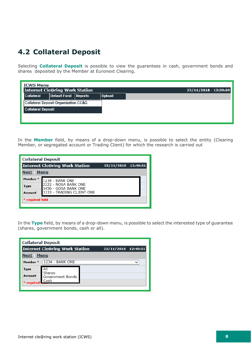### <span id="page-7-0"></span>**4.2 Collateral Deposit**

Selecting **Collateral Deposit** is possible to view the guarantees in cash, government bonds and shares deposited by the Member at Euronext Clearing.

| <b>ICWS Menu</b>          |                                       |                 |               |                       |
|---------------------------|---------------------------------------|-----------------|---------------|-----------------------|
|                           | <b>Internet Cle@ring Work Station</b> |                 |               | 23/11/2018 - 12:39:09 |
| Collateral                | <b>Default Fund</b>                   | $\vert$ Reports | <b>Upload</b> |                       |
|                           | Collateral Deposit Organization CC&G  |                 |               |                       |
| <b>Collateral Deposit</b> |                                       |                 |               |                       |
|                           |                                       |                 |               |                       |
|                           |                                       |                 |               |                       |

In the **Member** field, by means of a drop-down menu, is possible to select the entity (Clearing Member, or segregated account or Trading Client) for which the research is carried out

| <b>Collateral Deposit</b> |                                                       |  |  |  |  |  |  |  |  |
|---------------------------|-------------------------------------------------------|--|--|--|--|--|--|--|--|
|                           | Internet Cle@ring Work Station<br>23/11/2018 12:40:31 |  |  |  |  |  |  |  |  |
| Menu<br>Next              |                                                       |  |  |  |  |  |  |  |  |
| Member <sup>*</sup>       | <b>1234 - BANK ONE</b>                                |  |  |  |  |  |  |  |  |
| <b>Type</b>               | 2222 - NOSA BANK ONE<br>3456 - GOSA BANK ONE          |  |  |  |  |  |  |  |  |
| Account                   | 3333 - TRADING CLIENT ONE                             |  |  |  |  |  |  |  |  |
| * required field          |                                                       |  |  |  |  |  |  |  |  |
|                           |                                                       |  |  |  |  |  |  |  |  |

In the **Type** field, by means of a drop-down menu, is possible to select the interested type of guarantee (shares, government bonds, cash or all).

|                     | <b>Collateral Deposit</b>         |                     |  |
|---------------------|-----------------------------------|---------------------|--|
|                     | Internet Cle@ring Work Station    | 23/11/2018 12:40:31 |  |
| Next                | Menu                              |                     |  |
| Member <sup>*</sup> | <b>1234 - BANK ONE</b>            |                     |  |
| Type                | All                               |                     |  |
| Account             | <b>Shares</b><br>Government Bonds |                     |  |
| required            | . Cash                            |                     |  |
|                     |                                   |                     |  |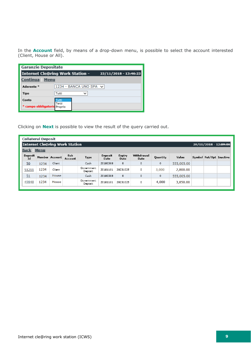In the **Account** field, by means of a drop-down menu, is possible to select the account interested (Client, House or All).

|                              | <b>Garanzie Depositate</b>              |                       |  |  |  |  |
|------------------------------|-----------------------------------------|-----------------------|--|--|--|--|
|                              | <b>Internet Cle@ring Work Station -</b> | 23/11/2018 - 13:46:23 |  |  |  |  |
| Continua<br>Menu             |                                         |                       |  |  |  |  |
| Aderente <sup>*</sup>        | 1234 - BANCA UNO SPA V                  |                       |  |  |  |  |
| Tipo                         | Tutti                                   |                       |  |  |  |  |
| Conto                        | Tutti                                   |                       |  |  |  |  |
| * campo obbligatoric Proprio | Terzi                                   |                       |  |  |  |  |

Clicking on **Next** is possible to view the result of the query carried out.

|                          | <b>Collateral Deposit</b>                               |        |                 |                       |                        |                       |                    |          |            |                         |  |
|--------------------------|---------------------------------------------------------|--------|-----------------|-----------------------|------------------------|-----------------------|--------------------|----------|------------|-------------------------|--|
|                          | Internet Cle@ring Work Station<br>26/11/2018 - 12:09:06 |        |                 |                       |                        |                       |                    |          |            |                         |  |
| <u>Back</u>              | Menu                                                    |        |                 |                       |                        |                       |                    |          |            |                         |  |
| Deposit<br>$\mathbf{Id}$ | Member Account                                          |        | Sub-<br>Account | Type                  | Deposit<br><b>Date</b> | Expiry<br><b>Date</b> | Withdrawal<br>Date | Quantity | Value      | Symbol Fut/Opt Inactive |  |
| 50                       | 1234                                                    | Client |                 | Cash                  | 20180508               | 0                     | 0                  | 0        | 555,005.00 |                         |  |
| 51211                    | 1234                                                    | Client |                 | Government<br>Deposit | 20181101               | 20231025              | 0                  | 3,000    | 2,800.00   |                         |  |
| 51                       | 1234                                                    | House  |                 | Cash                  | 20180508               | $\mathbf{0}$          | 0                  | 0        | 555,005.00 |                         |  |
| 49848                    | 1234                                                    | House  |                 | Government<br>Deposit | 20181101               | 20231025              | ٥                  | 4,000    | 3,850.00   |                         |  |
|                          |                                                         |        |                 |                       |                        |                       |                    |          |            |                         |  |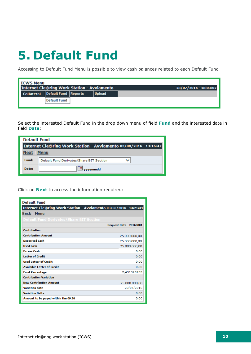### <span id="page-9-0"></span>**5. Default Fund**

Accessing to Default Fund Menu is possible to view cash balances related to each Default Fund

| l ICWS Menu                                        |                     |               |                       |
|----------------------------------------------------|---------------------|---------------|-----------------------|
| <b>Internet Cle@ring Work Station - Avviamento</b> |                     |               | 28/07/2016 - 18:03:02 |
| Collateral Default Fund Reports                    |                     | <b>Upload</b> |                       |
|                                                    | <b>Default Fund</b> |               |                       |
|                                                    |                     |               |                       |

Select the interested Default Fund in the drop down menu of field **Fund** and the interested date in field **Date**:

| <b>Default Fund</b>                                               |                                          |  |  |  |
|-------------------------------------------------------------------|------------------------------------------|--|--|--|
| Internet Cle@ring Work Station - Avviamento 03/08/2016 - 13:16:47 |                                          |  |  |  |
| Next                                                              | <b>Menu</b>                              |  |  |  |
| Fund:                                                             | Default Fund Derivates/Share BIT Section |  |  |  |
| Date:                                                             | vvvvmmdd                                 |  |  |  |

Click on **Next** to access the information required:

| <b>Default Fund</b>                                               |                                |  |  |  |  |
|-------------------------------------------------------------------|--------------------------------|--|--|--|--|
| Internet Cle@ring Work Station - Avviamento 03/08/2016 - 13:21:34 |                                |  |  |  |  |
| <b>Back Menu</b>                                                  |                                |  |  |  |  |
| Default Fund Derivates/Share BIT Section                          |                                |  |  |  |  |
|                                                                   | <b>Request Date - 20160801</b> |  |  |  |  |
| <b>Contribution</b>                                               |                                |  |  |  |  |
| <b>Contribution Amount</b>                                        | 25.000.000,00                  |  |  |  |  |
| <b>Deposited Cash</b>                                             | 25.000.000,00                  |  |  |  |  |
| <b>Used Cash</b>                                                  | 25.000.000,00                  |  |  |  |  |
| <b>Excess Cash</b>                                                | 0.00                           |  |  |  |  |
| <b>Letter of Credit</b>                                           | 0.00                           |  |  |  |  |
| <b>Used Letter of Credit</b>                                      | 0.00                           |  |  |  |  |
| <b>Avalaible Letter of Credit</b>                                 | 0.00                           |  |  |  |  |
| <b>Fund Percentage</b>                                            | 2.491370733                    |  |  |  |  |
| <b>Contribution Variation</b>                                     |                                |  |  |  |  |
| <b>New Contribution Amount</b><br>25.000.000,00                   |                                |  |  |  |  |
| <b>Variation date</b><br>29/07/2016                               |                                |  |  |  |  |
| <b>Variation Delta</b>                                            | 0.00                           |  |  |  |  |
| Amount to be payed within the 09.30                               | 0.00                           |  |  |  |  |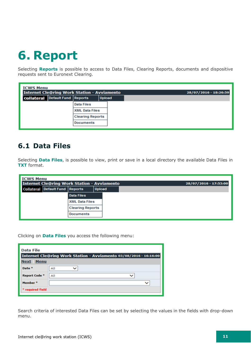### <span id="page-10-0"></span>**6. Report**

Selecting **Reports** is possible to access to Data Files, Clearing Reports, documents and dispositive requests sent to Euronext Clearing.

| <b>ICWS Menu</b>                       | <b>Internet Cle@ring Work Station - Avviamento</b> |               | 28/07/2016 - 18:26:59 |
|----------------------------------------|----------------------------------------------------|---------------|-----------------------|
| <b>Collateral</b> Default Fund Reports |                                                    | <b>Upload</b> |                       |
|                                        | <b>Data Files</b>                                  |               |                       |
|                                        | <b>XML Data Files</b>                              |               |                       |
|                                        | <b>Clearing Reports</b>                            |               |                       |
|                                        | <b>Documents</b>                                   |               |                       |
|                                        |                                                    |               |                       |

### <span id="page-10-1"></span>**6.1 Data Files**

Selecting **Data Files**, is possible to view, print or save in a local directory the available Data Files in **TXT** format.

| <b>ICWS Menu</b> |                                        |                                                    |               |                       |
|------------------|----------------------------------------|----------------------------------------------------|---------------|-----------------------|
|                  |                                        | <b>Internet Cle@ring Work Station - Avviamento</b> |               | 28/07/2016 - 17:53:00 |
|                  | <b>Collateral Default Fund Reports</b> |                                                    | <b>Upload</b> |                       |
|                  |                                        | <b>Data Files</b>                                  |               |                       |
|                  |                                        | <b>XML Data Files</b>                              |               |                       |
|                  |                                        | <b>Clearing Reports</b>                            |               |                       |
|                  |                                        | <b>Documents</b>                                   |               |                       |

Clicking on **Data Files** you access the following menu:

| Data File                  |                                                                   |
|----------------------------|-------------------------------------------------------------------|
|                            | Internet Cle@ring Work Station - Avviamento 03/08/2016 - 16:16:00 |
| <b>Menu</b><br><b>Next</b> |                                                                   |
| Date <sup>*</sup>          | All                                                               |
| Report Code *              | All                                                               |
| Member <sup>*</sup>        |                                                                   |
| * required field           |                                                                   |

Search criteria of interested Data Files can be set by selecting the values in the fields with drop-down menu.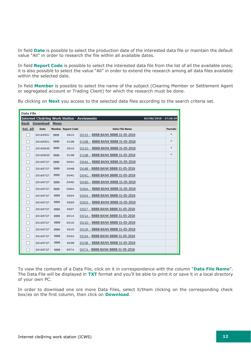In field **Date** is possible to select the production date of the interested data file or maintain the default value "All" in order to research the file within all available dates.

In field **Report Code** is possible to select the interested data file from the list of all the available ones; it is also possible to select the value "All" in order to extend the research among all data files available within the selected date.

In field **Member** is possible to select the name of the subject (Clearing Member or Settlement Agent or segregated account or Trading Client) for which the research must be done.

|  |  |  |  | By clicking on <b>Next</b> you access to the selected data files according to the search criteria set. |  |  |  |
|--|--|--|--|--------------------------------------------------------------------------------------------------------|--|--|--|
|  |  |  |  |                                                                                                        |  |  |  |

| <b>Data File</b> |               |             |                           |                                                                             |          |
|------------------|---------------|-------------|---------------------------|-----------------------------------------------------------------------------|----------|
|                  |               |             |                           | <b>Internet Cle@ring Work Station - Avviamento</b><br>03/08/2016 - 17:26:19 |          |
|                  | Back Download | <b>Menu</b> |                           |                                                                             |          |
| Sel. All         | <b>Date</b>   |             | <b>Member Report Code</b> | <b>Data File Name</b>                                                       | Periodic |
|                  | 20160531      | 9999        | <b>DS10</b>               | DS10 - BBBB BANK BBBB 31-05-2016                                            | *        |
|                  | 20160531      | 9999        | D <sub>10</sub> B         | D10B - BBBB BANK BBBB 31-05-2016                                            | *        |
|                  | 20160630      | 9999        | <b>DS10</b>               | DS10 - BBBB BANK BBBB 31-05-2016                                            | *        |
|                  | 20160630      | 9999        | D <sub>10</sub> B         | D10B - BBBB BANK BBBB 31-05-2016                                            | $\ast$   |
|                  | 20160727      | 9999        | D04A                      | D04A - BBBB BANK BBBB 31-05-2016                                            |          |
|                  | 20160727      | 9999        | <b>D04B</b>               | D04B - BBBB BANK BBBB 31-05-2016                                            |          |
|                  | 20160727      | 9999        | <b>D04C</b>               | D04C - BBBB BANK BBBB 31-05-2016                                            |          |
|                  | 20160727      | 9999        | D04D                      | D04D - BBBB BANK BBBB 31-05-2016                                            |          |
|                  | 20160727      | 9999        | <b>D06A</b>               | DO6A - BBBB BANK BBBB 31-05-2016                                            |          |
|                  | 20160727      | 9999        | <b>DS04</b>               | DS04 - BBBB BANK BBBB 31-05-2016                                            |          |
|                  | 20160727      | 9999        | <b>DS05</b>               | DS05 - BBBB BANK BBBB 31-05-2016                                            |          |
|                  | 20160727      | 9999        | <b>DS07</b>               | DS07 - BBBB BANK BBBB 31-05-2016                                            |          |
|                  | 20160727      | 9999        | <b>D01A</b>               | D01A - BBBB BANK BBBB 31-05-2016                                            |          |
|                  | 20160727      | 9999        | <b>D01D</b>               | D01D - BBBB BANK BBBB 31-05-2016                                            |          |
|                  | 20160727      | 9999        | <b>D01R</b>               | D01R - BBBB BANK BBBB 31-05-2016                                            |          |
|                  | 20160727      | 9999        | <b>D03A</b>               | D03A - BBBB BANK BBBB 31-05-2016                                            |          |
|                  | 20160727      | 9999        | D03B                      | D03B - BBBB BANK BBBB 31-05-2016                                            |          |
|                  | 20160727      | 9999        | <b>D07A</b>               | D07A - BBBB BANK BBBB 31-05-2016                                            |          |

To view the contents of a Data File, click on it in correspondence with the column "**Data File Name**". The Data File will be displayed in **TXT** format and you'll be able to print it or save it in a local directory of your own PC.

In order to download one ore more Data Files, select it/them clicking on the corresponding check box/es on the first column, then click on **Download**.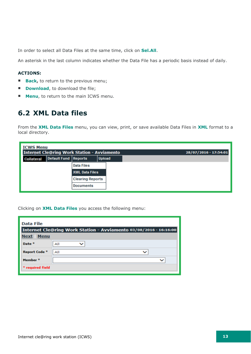In order to select all Data Files at the same time, click on **Sel.All**.

An asterisk in the last column indicates whether the Data File has a periodic basis instead of daily.

#### **ACTIONS:**

- **Back,** to return to the previous menu;
- **Download**, to download the file;
- <span id="page-12-0"></span>**Menu**, to return to the main ICWS menu.

#### **6.2 XML Data files**

From the **XML Data Files** menu, you can view, print, or save available Data Files in **XML** format to a local directory.

| <b>ICWS Menu</b> |                                                    |                         |               |                       |
|------------------|----------------------------------------------------|-------------------------|---------------|-----------------------|
|                  | <b>Internet Cle@ring Work Station - Avviamento</b> |                         |               | 28/07/2016 - 17:54:01 |
| Collateral       | Default Fund Reports                               |                         | <b>Upload</b> |                       |
|                  |                                                    | <b>Data Files</b>       |               |                       |
|                  |                                                    | <b>XML Data Files</b>   |               |                       |
|                  |                                                    | <b>Clearing Reports</b> |               |                       |
|                  |                                                    | <b>Documents</b>        |               |                       |

Clicking on **XML Data Files** you access the following menu:

| Data File           |                                                                   |
|---------------------|-------------------------------------------------------------------|
|                     | Internet Cle@ring Work Station - Avviamento 03/08/2016 - 16:16:00 |
| <b>Next Menu</b>    |                                                                   |
| Date <sup>*</sup>   | All                                                               |
| Report Code *       | All                                                               |
| Member <sup>*</sup> |                                                                   |
| * required field    |                                                                   |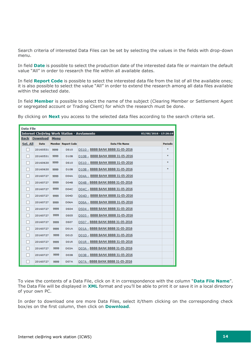Search criteria of interested Data Files can be set by selecting the values in the fields with drop-down menu.

In field **Date** is possible to select the production date of the interested data file or maintain the default value "All" in order to research the file within all available dates.

In field **Report Code** is possible to select the interested data file from the list of all the available ones; it is also possible to select the value "All" in order to extend the research among all data files available within the selected date.

In field **Member** is possible to select the name of the subject (Clearing Member or Settlement Agent or segregated account or Trading Client) for which the research must be done.

| <b>Data File</b> |                           |      |                           |                                                    |                       |
|------------------|---------------------------|------|---------------------------|----------------------------------------------------|-----------------------|
|                  |                           |      |                           | <b>Internet Cle@ring Work Station - Avviamento</b> | 03/08/2016 - 17:26:19 |
|                  | <b>Back Download Menu</b> |      |                           |                                                    |                       |
| Sel. All         | <b>Date</b>               |      | <b>Member Report Code</b> | <b>Data File Name</b>                              | Periodic              |
|                  | 20160531                  | 9999 | <b>DS10</b>               | DS10 - BBBB BANK BBBB 31-05-2016                   | *                     |
|                  | 20160531                  | 9999 | <b>D10B</b>               | D10B - BBBB BANK BBBB 31-05-2016                   | *                     |
|                  | 20160630                  | 9999 | <b>DS10</b>               | DS10 - BBBB BANK BBBB 31-05-2016                   | *                     |
|                  | 20160630                  | 9999 | <b>D10B</b>               | D10B - BBBB BANK BBBB 31-05-2016                   | *                     |
|                  | 20160727                  | 9999 | D04A                      | D04A - BBBB BANK BBBB 31-05-2016                   |                       |
|                  | 20160727                  | 9999 | <b>D04B</b>               | D04B - BBBB BANK BBBB 31-05-2016                   |                       |
|                  | 20160727                  | 9999 | D04C                      | D04C - BBBB BANK BBBB 31-05-2016                   |                       |
|                  | 20160727                  | 9999 | D04D                      | D04D - BBBB BANK BBBB 31-05-2016                   |                       |
|                  | 20160727                  | 9999 | D06A                      | DO6A - BBBB BANK BBBB 31-05-2016                   |                       |
|                  | 20160727                  | 9999 | <b>DS04</b>               | DS04 - BBBB BANK BBBB 31-05-2016                   |                       |
|                  | 20160727                  | 9999 | <b>DS05</b>               | DS05 - BBBB BANK BBBB 31-05-2016                   |                       |
|                  | 20160727                  | 9999 | <b>DS07</b>               | DS07 - BBBB BANK BBBB 31-05-2016                   |                       |
|                  | 20160727                  | 9999 | <b>D01A</b>               | D01A - BBBB BANK BBBB 31-05-2016                   |                       |
|                  | 20160727                  | 9999 | <b>D01D</b>               | D01D - BBBB BANK BBBB 31-05-2016                   |                       |
|                  | 20160727                  | 9999 | <b>D01R</b>               | D01R - BBBB BANK BBBB 31-05-2016                   |                       |
|                  | 20160727                  | 9999 | <b>D03A</b>               | D03A - BBBB BANK BBBB 31-05-2016                   |                       |
|                  | 20160727                  | 9999 | D03B                      | D03B - BBBB BANK BBBB 31-05-2016                   |                       |
|                  | 20160727                  | 9999 | <b>D07A</b>               | D07A - BBBB BANK BBBB 31-05-2016                   |                       |

By clicking on **Next** you access to the selected data files according to the search criteria set.

To view the contents of a Data File, click on it in correspondence with the column "**Data File Name**". The Data File will be displayed in **XML** format and you'll be able to print it or save it in a local directory of your own PC.

In order to download one ore more Data Files, select it/them clicking on the corresponding check box/es on the first column, then click on **Download**.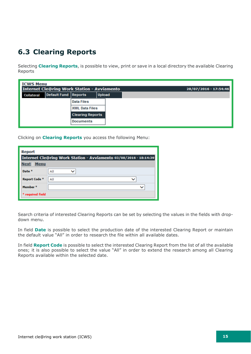### <span id="page-14-0"></span>**6.3 Clearing Reports**

Selecting **Clearing Reports**, is possible to view, print or save in a local directory the available Clearing Reports

| <b>ICWS Menu</b> |                                                    |                         |               |                       |
|------------------|----------------------------------------------------|-------------------------|---------------|-----------------------|
|                  | <b>Internet Cle@ring Work Station - Avviamento</b> |                         |               | 28/07/2016 - 17:54:46 |
| Collateral       | <b>Default Fund Reports</b>                        |                         | <b>Upload</b> |                       |
|                  |                                                    | <b>Data Files</b>       |               |                       |
|                  |                                                    | <b>XML Data Files</b>   |               |                       |
|                  |                                                    | <b>Clearing Reports</b> |               |                       |
|                  |                                                    | <b>Documents</b>        |               |                       |

Clicking on **Clearing Reports** you access the following Menu:

| <b>Report</b>              |                                                                   |
|----------------------------|-------------------------------------------------------------------|
|                            | Internet Cle@ring Work Station - Avviamento 03/08/2016 - 18:14:39 |
| <b>Menu</b><br><b>Next</b> |                                                                   |
| Date <sup>*</sup>          | All                                                               |
| Report Code *              | All                                                               |
| Member <sup>*</sup>        |                                                                   |
| * required field           |                                                                   |

Search criteria of interested Clearing Reports can be set by selecting the values in the fields with dropdown menu.

In field **Date** is possible to select the production date of the interested Clearing Report or maintain the default value "All" in order to research the file within all available dates.

In field **Report Code** is possible to select the interested Clearing Report from the list of all the available ones; it is also possible to select the value "All" in order to extend the research among all Clearing Reports available within the selected date.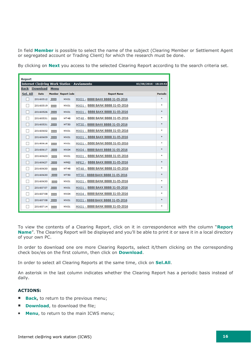In field **Member** is possible to select the name of the subject (Clearing Member or Settlement Agent or segregated account or Trading Client) for which the research must be done.

| <b>Report</b> |                           |      |                           |                                                                             |                 |
|---------------|---------------------------|------|---------------------------|-----------------------------------------------------------------------------|-----------------|
|               | <b>Back Download Menu</b> |      |                           | <b>Internet Cle@ring Work Station - Avviamento</b><br>03/08/2016 - 18:19:42 |                 |
| Sel. All      | <b>Date</b>               |      | <b>Member Report Code</b> | <b>Report Name</b>                                                          | <b>Periodic</b> |
| П             | 20160512                  | 9999 | MX01                      | MX01 - BBBB BAKK BBBB 31-05-2016                                            | $\ast$          |
|               | 20160519                  | 9999 | MX01                      | MX01 - BBBB BANK BBBB 31-05-2016                                            | ÷.              |
|               | 20160526                  | 9999 | MX01                      | MX01 - BBBB BAKK BBBB 31-05-2016                                            | ÷.              |
|               | 20160531                  | 9999 | <b>MT48</b>               | MT48 - BBBB BANK BBBB 31-05-2016                                            | ÷.              |
|               | 20160531                  | 9999 | MT50                      | MT50 - BBBB BAKK BBBB 31-05-2016                                            | ÷.              |
|               | 20160602                  | 9999 | MX01                      | MX01 - BBBB BANK BBBB 31-05-2016                                            | ÷.              |
|               | 20160609                  | 9999 | <b>MX01</b>               | MX01 - BBBB BAKK BBBB 31-05-2016                                            | ÷.              |
|               | 20160616                  | 9999 | MX01                      | MX01 - BBBB BANK BBBB 31-05-2016                                            | ÷.              |
|               | 20160617                  | 9999 | <b>MX04</b>               | MX04 - BBBB BAKK BBBB 31-05-2016                                            | *               |
|               | 20160623                  | 9999 | MX01                      | MX01 - BBBB BANK BBBB 31-05-2016                                            | ÷.              |
|               | 20160627                  | 9999 | MPE <sub>2</sub>          | MPE2 - BBBB BAKK BBBB 31-05-2016                                            | ÷.              |
|               | 20160630                  | 9999 | <b>MT48</b>               | MT48 - BBBB BANK BBBB 31-05-2016                                            | ÷.              |
|               | 20160630                  | 9999 | <b>MT50</b>               | MT50 - BBBB BAKK BBBB 31-05-2016                                            | ÷.              |
|               | 20160630                  | 9999 | MX01                      | MX01 - BBBB BANK BBBB 31-05-2016                                            | ÷.              |
|               | 20160707                  | 9999 | <b>MX01</b>               | MX01 - BBBB BAKK BBBB 31-05-2016                                            | *               |
|               | 20160708                  | 9999 | <b>MX04</b>               | MX04 - BBBB BANK BBBB 31-05-2016                                            | ÷.              |
|               | 20160708                  | 9999 | <b>MX01</b>               | MX01 - BBBB BAKK BBBB 31-05-2016                                            | ÷.              |
|               | 20160714                  | 9999 | MX01                      | MX01 - BBBB BANK BBBB 31-05-2016                                            | ÷.              |

By clicking on **Next** you access to the selected Clearing Report according to the search criteria set.

To view the contents of a Clearing Report, click on it in correspondence with the column "**Report Name**". The Clearing Report will be displayed and you'll be able to print it or save it in a local directory of your own PC.

In order to download one ore more Clearing Reports, select it/them clicking on the corresponding check box/es on the first column, then click on **Download**.

In order to select all Clearing Reports at the same time, click on **Sel.All**.

An asterisk in the last column indicates whether the Clearing Report has a periodic basis instead of daily.

#### **ACTIONS:**

- **Back,** to return to the previous menu;
- **Download**, to download the file;
- **Menu**, to return to the main ICWS menu;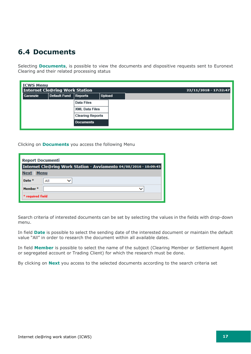### <span id="page-16-0"></span>**6.4 Documents**

Selecting **Documents**, is possible to view the documents and dispositive requests sent to Euronext Clearing and their related processing status

| <b>ICWS Menu</b> | <b>Internet Cle@ring Work Station</b> |                         |        |  | 22/11/2018 - 17:32:47 |
|------------------|---------------------------------------|-------------------------|--------|--|-----------------------|
| Garanzie         | Default Fund                          | <b>Reports</b>          | Upload |  |                       |
|                  |                                       | Data Files              |        |  |                       |
|                  |                                       | <b>XML Data Files</b>   |        |  |                       |
|                  |                                       | <b>Clearing Reports</b> |        |  |                       |
|                  |                                       | <b>Documents</b>        |        |  |                       |

#### Clicking on **Documents** you access the following Menu

| <b>Report Documenti</b>                                           |     |  |  |  |  |  |
|-------------------------------------------------------------------|-----|--|--|--|--|--|
| Internet Cle@ring Work Station - Avviamento 04/08/2016 - 10:09:45 |     |  |  |  |  |  |
| <b>Menu</b><br><b>Next</b>                                        |     |  |  |  |  |  |
| Date <sup>*</sup>                                                 | All |  |  |  |  |  |
| Member <sup>*</sup>                                               |     |  |  |  |  |  |
| * required field                                                  |     |  |  |  |  |  |

Search criteria of interested documents can be set by selecting the values in the fields with drop-down menu.

In field **Date** is possible to select the sending date of the interested document or maintain the default value "All" in order to research the document within all available dates.

In field **Member** is possible to select the name of the subject (Clearing Member or Settlement Agent or segregated account or Trading Client) for which the research must be done.

By clicking on **Next** you access to the selected documents according to the search criteria set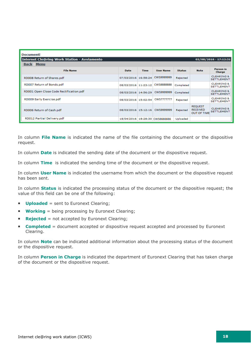| <b>Documenti</b><br>Internet Cle@ring Work Station - Avviamento<br>$02/08/2016 - 17:12:31$<br><b>Back Menu</b> |                     |             |                                |               |                                                         |                                            |
|----------------------------------------------------------------------------------------------------------------|---------------------|-------------|--------------------------------|---------------|---------------------------------------------------------|--------------------------------------------|
| <b>File Name</b>                                                                                               | Date                | <b>Time</b> | <b>User Name</b>               | <b>Status</b> | <b>Note</b>                                             | <b>Person in</b><br>Charge                 |
| RD008 Return of Shares.pdf                                                                                     | 07/03/2016 16:58:24 |             | CWS9999999                     | Rejected      |                                                         | <b>CLEARING &amp;</b><br><b>SETTLEMENT</b> |
| RD007 Return of Bonds.pdf                                                                                      | 08/03/2016 11:23:12 |             | CWS8888888                     | Completed     |                                                         | <b>CLEARING &amp;</b><br><b>SETTLEMENT</b> |
| RD001 Open Close Code Rectification.pdf                                                                        | 08/03/2016 14:56:29 |             | CWS9999999                     | Completed     |                                                         | <b>CLEARING &amp;</b><br><b>SETTLEMENT</b> |
| RD009 Early Exercise.pdf                                                                                       | 08/03/2016 15:02:54 |             | <b>CWS7777777</b>              | Rejected      |                                                         | <b>CLEARING &amp;</b><br><b>SETTLEMENT</b> |
| RD006 Return of Cash.pdf                                                                                       | 08/03/2016 15:12:16 |             | CWS9999999                     | Rejected      | <b>REQUEST</b><br><b>RECEIVED</b><br><b>OUT OF TIME</b> | <b>CLEARING &amp;</b><br><b>SETTLEMENT</b> |
| RD012 Partial Delivery.pdf                                                                                     |                     |             | 18/04/2016 18:28:30 CWS6666666 | Uploaded      |                                                         |                                            |

In column **File Name** is indicated the name of the file containing the document or the dispositive request.

In column **Date** is indicated the sending date of the document or the dispositive request.

In column **Time** is indicated the sending time of the document or the dispositive request.

In column **User Name** is indicated the username from which the document or the dispositive request has been sent.

In column **Status** is indicated the processing status of the document or the dispositive request; the value of this field can be one of the following:

- **Uploaded** = sent to Euronext Clearing;
- **Working** = being processing by Euronext Clearing;
- **Rejected** = not accepted by Euronext Clearing;
- **Completed** = document accepted or dispositive request accepted and processed by Euronext Clearing.

In column **Note** can be indicated additional information about the processing status of the document or the dispositive request.

In column **Person in Charge** is indicated the department of Euronext Clearing that has taken charge of the document or the dispositive request.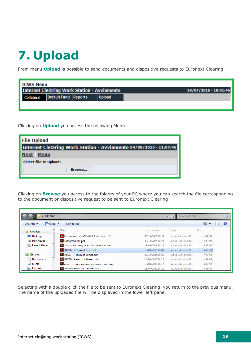# <span id="page-18-0"></span>**7. Upload**

From menu **Upload** is possible to send documents and dispositive requests to Euronext Clearing

| <b>ICWS Menu</b>                                   |                                              |  |  |                       |  |  |
|----------------------------------------------------|----------------------------------------------|--|--|-----------------------|--|--|
| <b>Internet Cle@ring Work Station - Avviamento</b> |                                              |  |  | 28/07/2016 - 18:01:46 |  |  |
| Collateral                                         | <b>Default Fund Reports</b><br><b>Upload</b> |  |  |                       |  |  |
|                                                    |                                              |  |  |                       |  |  |

Clicking on **Upload** you access the following Menu:

| <b>File Upload</b>                                                |  |  |  |  |  |
|-------------------------------------------------------------------|--|--|--|--|--|
| Internet Cle@ring Work Station - Avviamento 04/08/2016 - 11:07:46 |  |  |  |  |  |
| <b>Menu</b><br><b>Next</b>                                        |  |  |  |  |  |
| Select file to Upload:                                            |  |  |  |  |  |
| Browse                                                            |  |  |  |  |  |

Clicking on **Browse** you access to the folders of your PC where you can search the file corresponding to the document or dispositive request to be sent to Euronext Clearing:

| Search UPLOAD<br>UPLOAD<br>÷                                         |                                               |                  |                 |             |  |  |  |
|----------------------------------------------------------------------|-----------------------------------------------|------------------|-----------------|-------------|--|--|--|
| 脂→<br>Organize $\blacktriangledown$<br><b>□</b> Open ▼<br>New folder |                                               |                  |                 |             |  |  |  |
| ▲<br><b>X</b> Favorites                                              | ×<br>Name                                     | Date modified    | Type            | <b>Size</b> |  |  |  |
| Desktop                                                              | <b>X</b> Compensation of Failed Positions.pdf | 30/10/2015 10:29 | Adobe Acrobat D | 402 KB      |  |  |  |
| <b>L</b> Downloads                                                   | LA Disagreement.pdf                           | 30/10/2015 10:29 | Adobe Acrobat D | 402 KB      |  |  |  |
| Recent Places                                                        | 人 Partial Delivery of Failed Positions.pdf    | 18/04/2016 18:12 | Adobe Acrobat D | 402 KB      |  |  |  |
|                                                                      | <b>A</b> RD006 - Return of Cash.pdf           | 18/04/2016 18:09 | Adobe Acrobat D | 402 KB      |  |  |  |
| Libraries                                                            | X RD007 - Return of Bonds.pdf                 | 30/10/2015 10:29 | Adobe Acrobat D | 402 KB      |  |  |  |
| 궠<br>Documents                                                       | <b>A</b> RD008 - Return of Shares.pdf         | 18/04/2016 18:10 | Adobe Acrobat D | 402 KB      |  |  |  |
| Music                                                                | A RD002 - Gross Positions Rectification.pdf   | 18/04/2016 18:12 | Adobe Acrobat D | 402 KB      |  |  |  |
| Pictures                                                             | 人 RD004 - Position Transfer.pdf               | 18/04/2016 18:12 | Adobe Acrobat D | 402 KB      |  |  |  |

Selecting with a double click the file to be sent to Euronext Clearing, you return to the previous menu. The name of the uploaded file will be displayed in the lower left pane.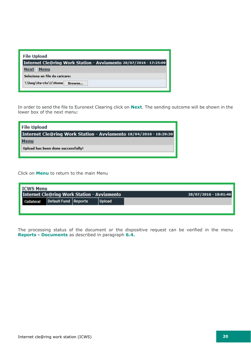| <b>File Upload</b>                                                |
|-------------------------------------------------------------------|
| Internet Cle@ring Work Station - Avviamento 28/07/2016 - 17:25:09 |
| <b>Next</b> Menu                                                  |
| Seleziona un file da caricare:                                    |
| \\lseq\ita-ctx\1\Home<br>Browse                                   |

In order to send the file to Euronext Clearing click on **Next**. The sending outcome will be shown in the lower box of the next menu:

| <b>File Upload</b>                                                |
|-------------------------------------------------------------------|
| Internet Cle@ring Work Station - Avviamento 18/04/2016 - 18:29:30 |
| <b>Menu</b>                                                       |
| Upload has been done successfully!                                |
|                                                                   |

Click on **Menu** to return to the main Menu

| <b>ICWS Menu</b>                                   |                      |  |               |                       |  |  |
|----------------------------------------------------|----------------------|--|---------------|-----------------------|--|--|
| <b>Internet Cle@ring Work Station - Avviamento</b> |                      |  |               | 28/07/2016 - 18:01:46 |  |  |
| Collateral                                         | Default Fund Reports |  | <b>Upload</b> |                       |  |  |
|                                                    |                      |  |               |                       |  |  |

The processing status of the document or the dispositive request can be verified in the menu **Reports - Documents** as described in paragraph **6.4.**

ш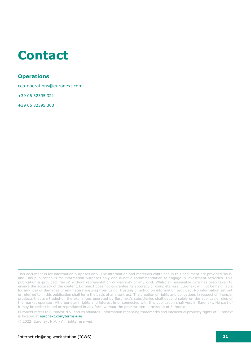### <span id="page-20-0"></span>**Contact**

#### **Operations**

[ccp-operations@euronext.com](mailto:ccp-operations@euronext.com)

+39 06 32395 321

+39 06 32395 303

This document is for information purposes only. The information and materials contained in this document are provided 'as is' and This publication is for information purposes only and is not a recommendation to engage in investment activities. This publication is provided "as is" without representation or warranty of any kind. Whilst all reasonable care has been taken to ensure the accuracy of the content, Euronext does not guarantee its accuracy or completeness. Euronext will not be held liable for any loss or damages of any nature ensuing from using, trusting or acting on information provided. No information set out or referred to in this publication shall form the basis of any contract. The creation of rights and obligations in respect of financial products that are traded on the exchanges operated by Euronext's subsidiaries shall depend solely on the applicable rules of the market operator. All proprietary rights and interest in or connected with this publication shall vest in Euronext. No part of it may be redistributed or reproduced in any form without the prior written permission of Euronext.

Euronext refers to Euronext N.V. and its affiliates. Information regarding trademarks and intellectual property rights of Euronext is located at **euronext.com/terms-use**.

© 2022, Euronext N.V. - All rights reserved.